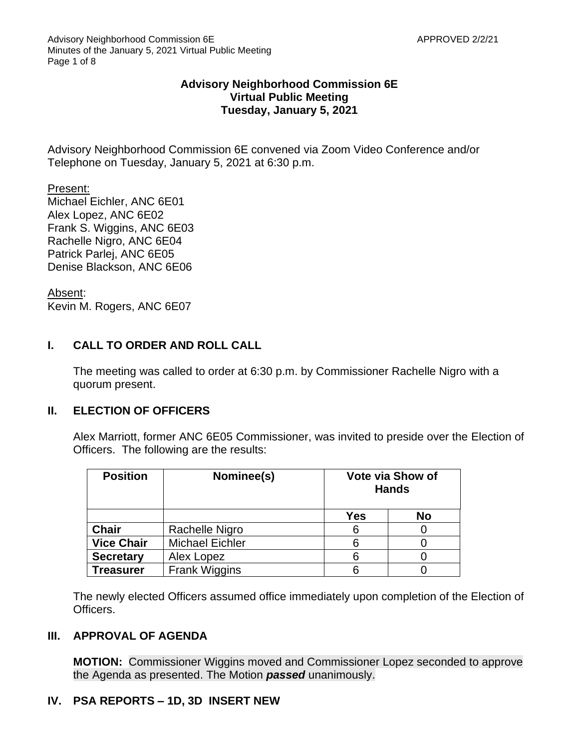### **Advisory Neighborhood Commission 6E Virtual Public Meeting Tuesday, January 5, 2021**

Advisory Neighborhood Commission 6E convened via Zoom Video Conference and/or Telephone on Tuesday, January 5, 2021 at 6:30 p.m.

Present: Michael Eichler, ANC 6E01 Alex Lopez, ANC 6E02 Frank S. Wiggins, ANC 6E03 Rachelle Nigro, ANC 6E04 Patrick Parlej, ANC 6E05 Denise Blackson, ANC 6E06

Absent: Kevin M. Rogers, ANC 6E07

# **I. CALL TO ORDER AND ROLL CALL**

The meeting was called to order at 6:30 p.m. by Commissioner Rachelle Nigro with a quorum present.

# **II. ELECTION OF OFFICERS**

Alex Marriott, former ANC 6E05 Commissioner, was invited to preside over the Election of Officers. The following are the results:

| <b>Position</b>   | Nominee(s)             | <b>Vote via Show of</b><br><b>Hands</b> |    |
|-------------------|------------------------|-----------------------------------------|----|
|                   |                        | Yes                                     | No |
| <b>Chair</b>      | Rachelle Nigro         | 6                                       |    |
| <b>Vice Chair</b> | <b>Michael Eichler</b> | 6                                       |    |
| <b>Secretary</b>  | Alex Lopez             | 6                                       |    |
| <b>Treasurer</b>  | <b>Frank Wiggins</b>   | 6                                       |    |

The newly elected Officers assumed office immediately upon completion of the Election of Officers.

# **III. APPROVAL OF AGENDA**

**MOTION:** Commissioner Wiggins moved and Commissioner Lopez seconded to approve the Agenda as presented. The Motion *passed* unanimously.

# **IV. PSA REPORTS – 1D, 3D INSERT NEW**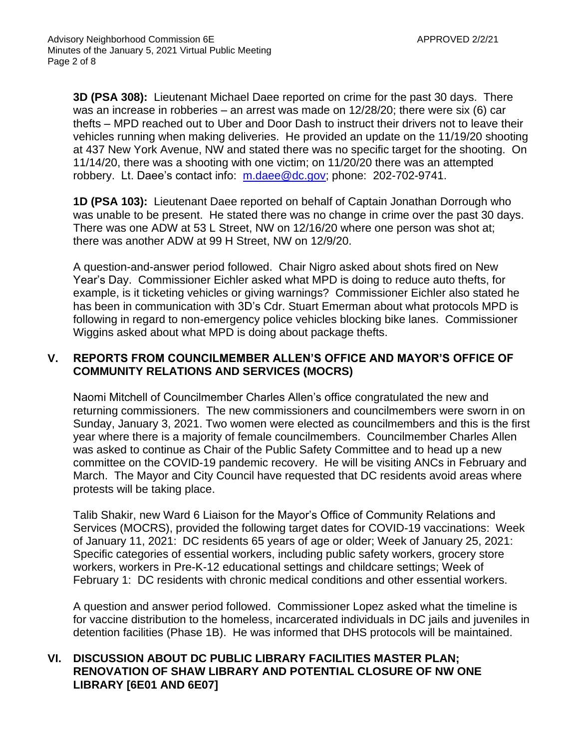**3D (PSA 308):** Lieutenant Michael Daee reported on crime for the past 30 days. There was an increase in robberies – an arrest was made on 12/28/20; there were six (6) car thefts – MPD reached out to Uber and Door Dash to instruct their drivers not to leave their vehicles running when making deliveries. He provided an update on the 11/19/20 shooting at 437 New York Avenue, NW and stated there was no specific target for the shooting. On 11/14/20, there was a shooting with one victim; on 11/20/20 there was an attempted robbery. Lt. Daee's contact info: [m.daee@dc.gov;](mailto:m.daee@dc.gov) phone: 202-702-9741.

**1D (PSA 103):** Lieutenant Daee reported on behalf of Captain Jonathan Dorrough who was unable to be present. He stated there was no change in crime over the past 30 days. There was one ADW at 53 L Street, NW on 12/16/20 where one person was shot at; there was another ADW at 99 H Street, NW on 12/9/20.

A question-and-answer period followed. Chair Nigro asked about shots fired on New Year's Day. Commissioner Eichler asked what MPD is doing to reduce auto thefts, for example, is it ticketing vehicles or giving warnings? Commissioner Eichler also stated he has been in communication with 3D's Cdr. Stuart Emerman about what protocols MPD is following in regard to non-emergency police vehicles blocking bike lanes. Commissioner Wiggins asked about what MPD is doing about package thefts.

## **V. REPORTS FROM COUNCILMEMBER ALLEN'S OFFICE AND MAYOR'S OFFICE OF COMMUNITY RELATIONS AND SERVICES (MOCRS)**

Naomi Mitchell of Councilmember Charles Allen's office congratulated the new and returning commissioners. The new commissioners and councilmembers were sworn in on Sunday, January 3, 2021. Two women were elected as councilmembers and this is the first year where there is a majority of female councilmembers. Councilmember Charles Allen was asked to continue as Chair of the Public Safety Committee and to head up a new committee on the COVID-19 pandemic recovery. He will be visiting ANCs in February and March. The Mayor and City Council have requested that DC residents avoid areas where protests will be taking place.

Talib Shakir, new Ward 6 Liaison for the Mayor's Office of Community Relations and Services (MOCRS), provided the following target dates for COVID-19 vaccinations: Week of January 11, 2021: DC residents 65 years of age or older; Week of January 25, 2021: Specific categories of essential workers, including public safety workers, grocery store workers, workers in Pre-K-12 educational settings and childcare settings; Week of February 1: DC residents with chronic medical conditions and other essential workers.

A question and answer period followed. Commissioner Lopez asked what the timeline is for vaccine distribution to the homeless, incarcerated individuals in DC jails and juveniles in detention facilities (Phase 1B). He was informed that DHS protocols will be maintained.

## **VI. DISCUSSION ABOUT DC PUBLIC LIBRARY FACILITIES MASTER PLAN; RENOVATION OF SHAW LIBRARY AND POTENTIAL CLOSURE OF NW ONE LIBRARY [6E01 AND 6E07]**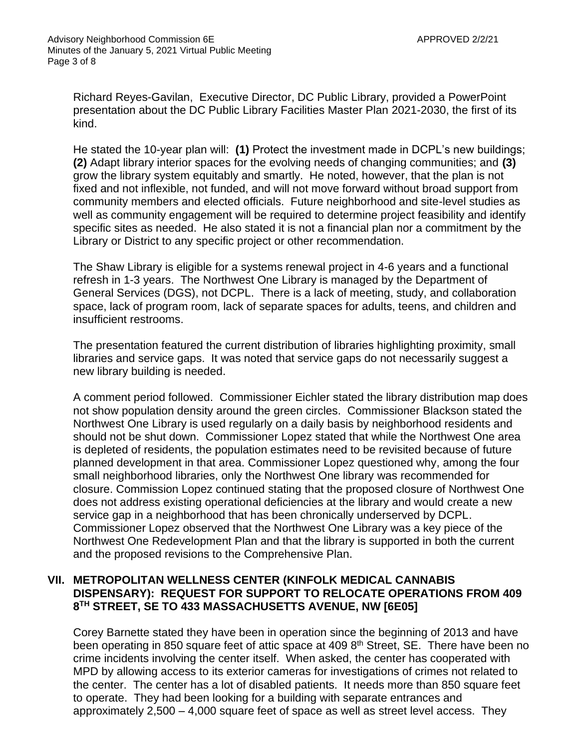Richard Reyes-Gavilan, Executive Director, DC Public Library, provided a PowerPoint presentation about the DC Public Library Facilities Master Plan 2021-2030, the first of its kind.

He stated the 10-year plan will: **(1)** Protect the investment made in DCPL's new buildings; **(2)** Adapt library interior spaces for the evolving needs of changing communities; and **(3)** grow the library system equitably and smartly. He noted, however, that the plan is not fixed and not inflexible, not funded, and will not move forward without broad support from community members and elected officials. Future neighborhood and site-level studies as well as community engagement will be required to determine project feasibility and identify specific sites as needed. He also stated it is not a financial plan nor a commitment by the Library or District to any specific project or other recommendation.

The Shaw Library is eligible for a systems renewal project in 4-6 years and a functional refresh in 1-3 years. The Northwest One Library is managed by the Department of General Services (DGS), not DCPL. There is a lack of meeting, study, and collaboration space, lack of program room, lack of separate spaces for adults, teens, and children and insufficient restrooms.

The presentation featured the current distribution of libraries highlighting proximity, small libraries and service gaps. It was noted that service gaps do not necessarily suggest a new library building is needed.

A comment period followed. Commissioner Eichler stated the library distribution map does not show population density around the green circles. Commissioner Blackson stated the Northwest One Library is used regularly on a daily basis by neighborhood residents and should not be shut down. Commissioner Lopez stated that while the Northwest One area is depleted of residents, the population estimates need to be revisited because of future planned development in that area. Commissioner Lopez questioned why, among the four small neighborhood libraries, only the Northwest One library was recommended for closure. Commission Lopez continued stating that the proposed closure of Northwest One does not address existing operational deficiencies at the library and would create a new service gap in a neighborhood that has been chronically underserved by DCPL. Commissioner Lopez observed that the Northwest One Library was a key piece of the Northwest One Redevelopment Plan and that the library is supported in both the current and the proposed revisions to the Comprehensive Plan.

#### **VII. METROPOLITAN WELLNESS CENTER (KINFOLK MEDICAL CANNABIS DISPENSARY): REQUEST FOR SUPPORT TO RELOCATE OPERATIONS FROM 409 8 TH STREET, SE TO 433 MASSACHUSETTS AVENUE, NW [6E05]**

Corey Barnette stated they have been in operation since the beginning of 2013 and have been operating in 850 square feet of attic space at 409 8<sup>th</sup> Street, SE. There have been no crime incidents involving the center itself. When asked, the center has cooperated with MPD by allowing access to its exterior cameras for investigations of crimes not related to the center. The center has a lot of disabled patients. It needs more than 850 square feet to operate. They had been looking for a building with separate entrances and approximately 2,500 – 4,000 square feet of space as well as street level access. They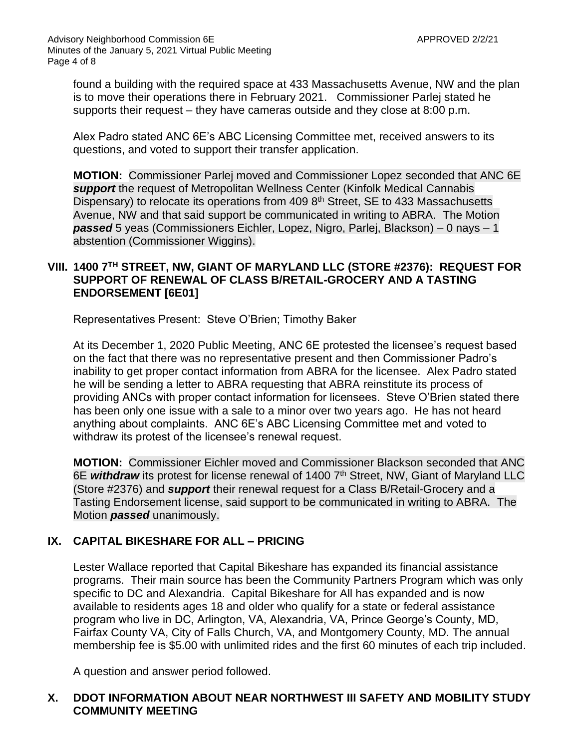found a building with the required space at 433 Massachusetts Avenue, NW and the plan is to move their operations there in February 2021. Commissioner Parlej stated he supports their request – they have cameras outside and they close at 8:00 p.m.

Alex Padro stated ANC 6E's ABC Licensing Committee met, received answers to its questions, and voted to support their transfer application.

**MOTION:** Commissioner Parlej moved and Commissioner Lopez seconded that ANC 6E *support* the request of Metropolitan Wellness Center (Kinfolk Medical Cannabis Dispensary) to relocate its operations from 409 8<sup>th</sup> Street, SE to 433 Massachusetts Avenue, NW and that said support be communicated in writing to ABRA. The Motion *passed* 5 yeas (Commissioners Eichler, Lopez, Nigro, Parlej, Blackson) – 0 nays – 1 abstention (Commissioner Wiggins).

## **VIII. 1400 7TH STREET, NW, GIANT OF MARYLAND LLC (STORE #2376): REQUEST FOR SUPPORT OF RENEWAL OF CLASS B/RETAIL-GROCERY AND A TASTING ENDORSEMENT [6E01]**

Representatives Present: Steve O'Brien; Timothy Baker

At its December 1, 2020 Public Meeting, ANC 6E protested the licensee's request based on the fact that there was no representative present and then Commissioner Padro's inability to get proper contact information from ABRA for the licensee. Alex Padro stated he will be sending a letter to ABRA requesting that ABRA reinstitute its process of providing ANCs with proper contact information for licensees. Steve O'Brien stated there has been only one issue with a sale to a minor over two years ago. He has not heard anything about complaints. ANC 6E's ABC Licensing Committee met and voted to withdraw its protest of the licensee's renewal request.

**MOTION:** Commissioner Eichler moved and Commissioner Blackson seconded that ANC 6E withdraw its protest for license renewal of 1400 7<sup>th</sup> Street, NW, Giant of Maryland LLC (Store #2376) and *support* their renewal request for a Class B/Retail-Grocery and a Tasting Endorsement license, said support to be communicated in writing to ABRA. The Motion *passed* unanimously.

# **IX. CAPITAL BIKESHARE FOR ALL – PRICING**

Lester Wallace reported that Capital Bikeshare has expanded its financial assistance programs. Their main source has been the Community Partners Program which was only specific to DC and Alexandria. Capital Bikeshare for All has expanded and is now available to residents ages 18 and older who qualify for a state or federal assistance program who live in DC, Arlington, VA, Alexandria, VA, Prince George's County, MD, Fairfax County VA, City of Falls Church, VA, and Montgomery County, MD. The annual membership fee is \$5.00 with unlimited rides and the first 60 minutes of each trip included.

A question and answer period followed.

# **X. DDOT INFORMATION ABOUT NEAR NORTHWEST III SAFETY AND MOBILITY STUDY COMMUNITY MEETING**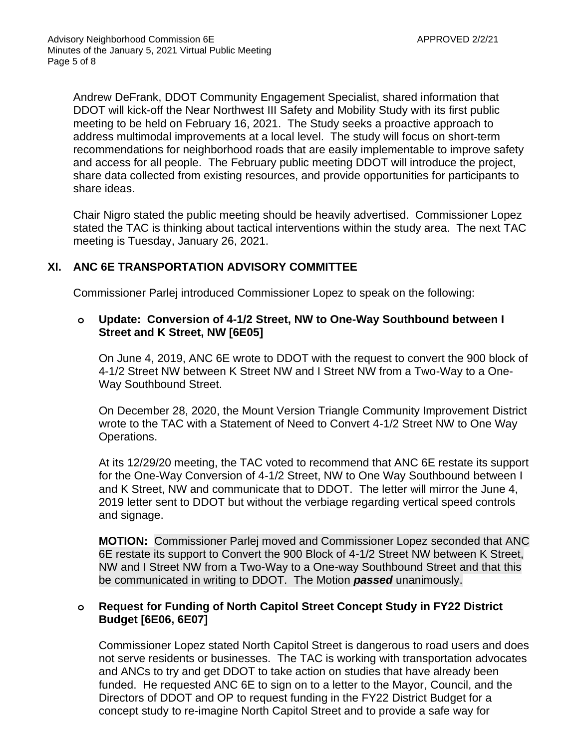Andrew DeFrank, DDOT Community Engagement Specialist, shared information that DDOT will kick-off the Near Northwest III Safety and Mobility Study with its first public meeting to be held on February 16, 2021. The Study seeks a proactive approach to address multimodal improvements at a local level. The study will focus on short-term recommendations for neighborhood roads that are easily implementable to improve safety and access for all people. The February public meeting DDOT will introduce the project, share data collected from existing resources, and provide opportunities for participants to share ideas.

Chair Nigro stated the public meeting should be heavily advertised. Commissioner Lopez stated the TAC is thinking about tactical interventions within the study area. The next TAC meeting is Tuesday, January 26, 2021.

## **XI. ANC 6E TRANSPORTATION ADVISORY COMMITTEE**

Commissioner Parlej introduced Commissioner Lopez to speak on the following:

### **o Update: Conversion of 4-1/2 Street, NW to One-Way Southbound between I Street and K Street, NW [6E05]**

On June 4, 2019, ANC 6E wrote to DDOT with the request to convert the 900 block of 4-1/2 Street NW between K Street NW and I Street NW from a Two-Way to a One-Way Southbound Street.

On December 28, 2020, the Mount Version Triangle Community Improvement District wrote to the TAC with a Statement of Need to Convert 4-1/2 Street NW to One Way Operations.

At its 12/29/20 meeting, the TAC voted to recommend that ANC 6E restate its support for the One-Way Conversion of 4-1/2 Street, NW to One Way Southbound between I and K Street, NW and communicate that to DDOT. The letter will mirror the June 4, 2019 letter sent to DDOT but without the verbiage regarding vertical speed controls and signage.

**MOTION:** Commissioner Parlej moved and Commissioner Lopez seconded that ANC 6E restate its support to Convert the 900 Block of 4-1/2 Street NW between K Street, NW and I Street NW from a Two-Way to a One-way Southbound Street and that this be communicated in writing to DDOT. The Motion *passed* unanimously.

### **o Request for Funding of North Capitol Street Concept Study in FY22 District Budget [6E06, 6E07]**

Commissioner Lopez stated North Capitol Street is dangerous to road users and does not serve residents or businesses. The TAC is working with transportation advocates and ANCs to try and get DDOT to take action on studies that have already been funded. He requested ANC 6E to sign on to a letter to the Mayor, Council, and the Directors of DDOT and OP to request funding in the FY22 District Budget for a concept study to re-imagine North Capitol Street and to provide a safe way for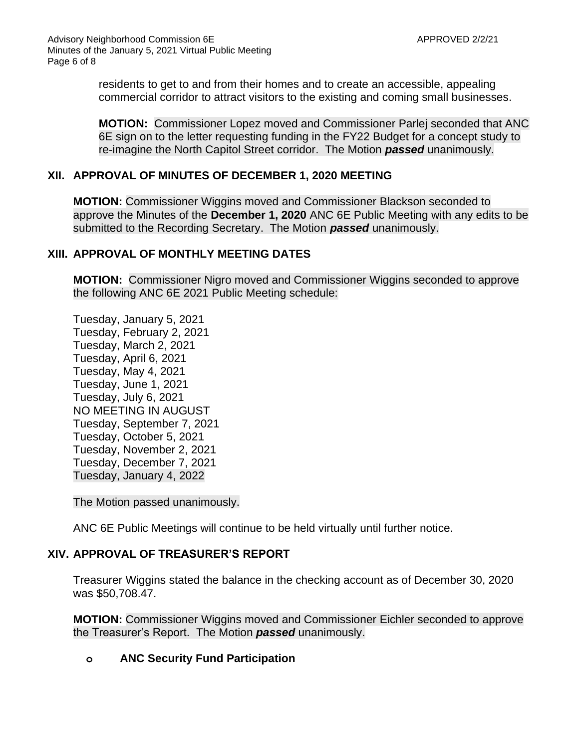residents to get to and from their homes and to create an accessible, appealing commercial corridor to attract visitors to the existing and coming small businesses.

**MOTION:** Commissioner Lopez moved and Commissioner Parlej seconded that ANC 6E sign on to the letter requesting funding in the FY22 Budget for a concept study to re-imagine the North Capitol Street corridor. The Motion *passed* unanimously.

#### **XII. APPROVAL OF MINUTES OF DECEMBER 1, 2020 MEETING**

**MOTION:** Commissioner Wiggins moved and Commissioner Blackson seconded to approve the Minutes of the **December 1, 2020** ANC 6E Public Meeting with any edits to be submitted to the Recording Secretary. The Motion *passed* unanimously.

#### **XIII. APPROVAL OF MONTHLY MEETING DATES**

**MOTION:** Commissioner Nigro moved and Commissioner Wiggins seconded to approve the following ANC 6E 2021 Public Meeting schedule:

Tuesday, January 5, 2021 Tuesday, February 2, 2021 Tuesday, March 2, 2021 Tuesday, April 6, 2021 Tuesday, May 4, 2021 Tuesday, June 1, 2021 Tuesday, July 6, 2021 NO MEETING IN AUGUST Tuesday, September 7, 2021 Tuesday, October 5, 2021 Tuesday, November 2, 2021 Tuesday, December 7, 2021 Tuesday, January 4, 2022

The Motion passed unanimously.

ANC 6E Public Meetings will continue to be held virtually until further notice.

### **XIV. APPROVAL OF TREASURER'S REPORT**

Treasurer Wiggins stated the balance in the checking account as of December 30, 2020 was \$50,708.47.

**MOTION:** Commissioner Wiggins moved and Commissioner Eichler seconded to approve the Treasurer's Report. The Motion *passed* unanimously.

#### **o ANC Security Fund Participation**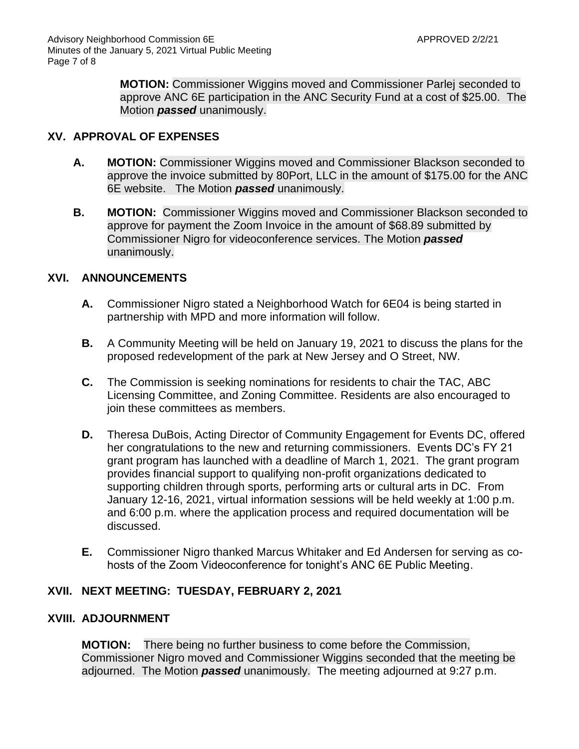**MOTION:** Commissioner Wiggins moved and Commissioner Parlej seconded to approve ANC 6E participation in the ANC Security Fund at a cost of \$25.00. The Motion *passed* unanimously.

### **XV. APPROVAL OF EXPENSES**

- **A. MOTION:** Commissioner Wiggins moved and Commissioner Blackson seconded to approve the invoice submitted by 80Port, LLC in the amount of \$175.00 for the ANC 6E website. The Motion *passed* unanimously.
- **B. MOTION:** Commissioner Wiggins moved and Commissioner Blackson seconded to approve for payment the Zoom Invoice in the amount of \$68.89 submitted by Commissioner Nigro for videoconference services. The Motion *passed* unanimously.

# **XVI. ANNOUNCEMENTS**

- **A.** Commissioner Nigro stated a Neighborhood Watch for 6E04 is being started in partnership with MPD and more information will follow.
- **B.** A Community Meeting will be held on January 19, 2021 to discuss the plans for the proposed redevelopment of the park at New Jersey and O Street, NW.
- **C.** The Commission is seeking nominations for residents to chair the TAC, ABC Licensing Committee, and Zoning Committee. Residents are also encouraged to join these committees as members.
- **D.** Theresa DuBois, Acting Director of Community Engagement for Events DC, offered her congratulations to the new and returning commissioners. Events DC's FY 21 grant program has launched with a deadline of March 1, 2021. The grant program provides financial support to qualifying non-profit organizations dedicated to supporting children through sports, performing arts or cultural arts in DC. From January 12-16, 2021, virtual information sessions will be held weekly at 1:00 p.m. and 6:00 p.m. where the application process and required documentation will be discussed.
- **E.** Commissioner Nigro thanked Marcus Whitaker and Ed Andersen for serving as cohosts of the Zoom Videoconference for tonight's ANC 6E Public Meeting.

### **XVII. NEXT MEETING: TUESDAY, FEBRUARY 2, 2021**

### **XVIII. ADJOURNMENT**

**MOTION:** There being no further business to come before the Commission, Commissioner Nigro moved and Commissioner Wiggins seconded that the meeting be adjourned. The Motion *passed* unanimously. The meeting adjourned at 9:27 p.m.